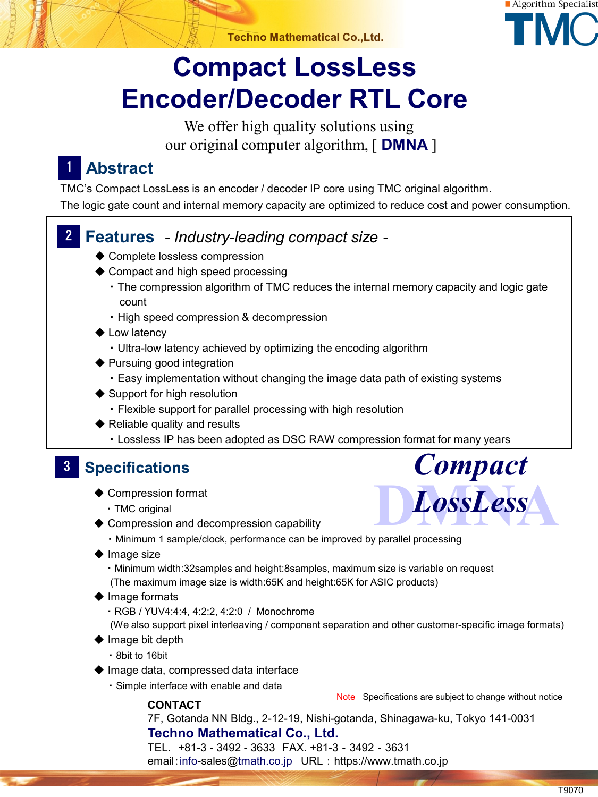**Techno Mathematical Co.,Ltd.** 



# **Compact LossLess Encoder/Decoder RTL Core**

We offer high quality solutions using our original computer algorithm, [ **DMNA** ]

# 1 **Abstract**

TMC's Compact LossLess is an encoder / decoder IP core using TMC original algorithm.

The logic gate count and internal memory capacity are optimized to reduce cost and power consumption.

## 2 **Features** *- Industry-leading compact size -*

- ◆ Complete lossless compression
- ◆ Compact and high speed processing
	- ・ The compression algorithm of TMC reduces the internal memory capacity and logic gate count
	- ・ High speed compression & decompression
- ◆ Low latency
	- ・ Ultra-low latency achieved by optimizing the encoding algorithm
- ◆ Pursuing good integration
	- ・ Easy implementation without changing the image data path of existing systems
- ◆ Support for high resolution
	- ・ Flexible support for parallel processing with high resolution
- ◆ Reliable quality and results
	- ・ Lossless IP has been adopted as DSC RAW compression format for many years

#### 3 **Specifications**

- ◆ Compression format
	- ・ TMC original
- ◆ Compression and decompression capability
- DLossLess ・ Minimum 1 sample/clock, performance can be improved by parallel processing
- ◆ Image size
	- ・ Minimum width:32samples and height:8samples, maximum size is variable on request (The maximum image size is width:65K and height:65K for ASIC products)
- ◆ Image formats
	- ・ RGB / YUV4:4:4, 4:2:2, 4:2:0 / Monochrome

(We also support pixel interleaving / component separation and other customer-specific image formats)

- ◆ Image bit depth
	- ・ 8bit to 16bit
- ◆ Image data, compressed data interface
	- ・ Simple interface with enable and data

#### **CONTACT**

Note Specifications are subject to change without notice

*Compact*

*LossLess*

7F, Gotanda NN Bldg., 2-12-19, Nishi-gotanda, Shinagawa-ku, Tokyo 141-0031 **Techno Mathematical Co., Ltd.**

TEL. +81-3 - 3492 - 3633 FAX. +81-3‐3492‐3631 email: info-sales@tmath.co.jp URL: https://www.tmath.co.jp